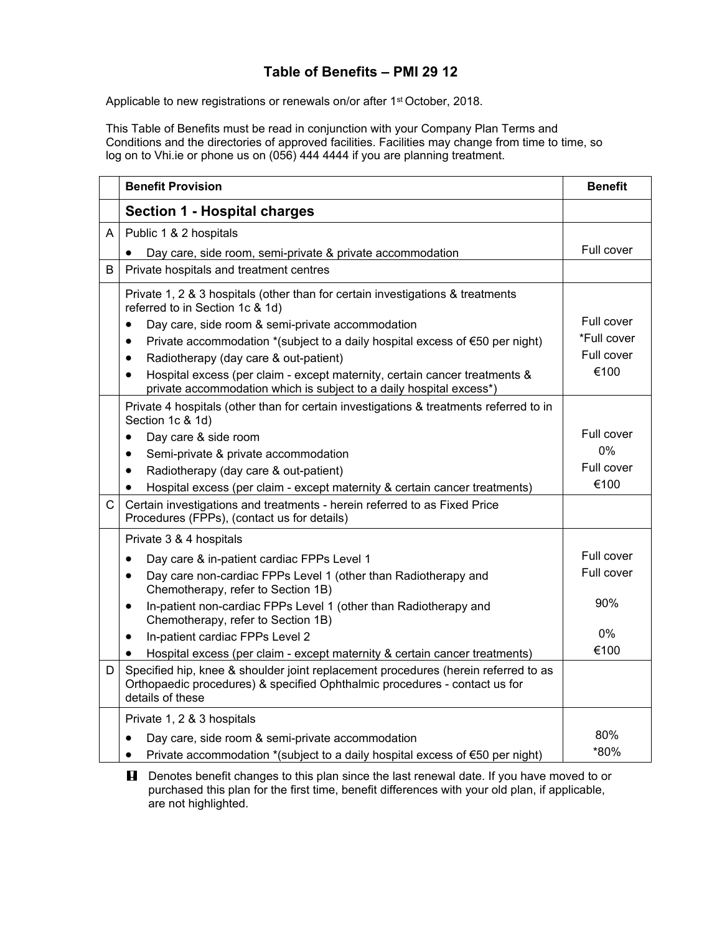## **Table of Benefits – PMI 29 12**

Applicable to new registrations or renewals on/or after 1<sup>st</sup> October, 2018.

This Table of Benefits must be read in conjunction with your Company Plan Terms and Conditions and the directories of approved facilities. Facilities may change from time to time, so log on to Vhi.ie or phone us on (056) 444 4444 if you are planning treatment.

|              | <b>Benefit Provision</b>                                                                                                                                                             | <b>Benefit</b> |
|--------------|--------------------------------------------------------------------------------------------------------------------------------------------------------------------------------------|----------------|
|              | <b>Section 1 - Hospital charges</b>                                                                                                                                                  |                |
| A            | Public 1 & 2 hospitals                                                                                                                                                               |                |
|              | Day care, side room, semi-private & private accommodation                                                                                                                            | Full cover     |
| B            | Private hospitals and treatment centres                                                                                                                                              |                |
|              | Private 1, 2 & 3 hospitals (other than for certain investigations & treatments<br>referred to in Section 1c & 1d)                                                                    |                |
|              | Day care, side room & semi-private accommodation<br>$\bullet$                                                                                                                        | Full cover     |
|              | Private accommodation *(subject to a daily hospital excess of $\epsilon$ 50 per night)<br>$\bullet$                                                                                  | *Full cover    |
|              | Radiotherapy (day care & out-patient)<br>$\bullet$                                                                                                                                   | Full cover     |
|              | Hospital excess (per claim - except maternity, certain cancer treatments &<br>$\bullet$<br>private accommodation which is subject to a daily hospital excess*)                       | €100           |
|              | Private 4 hospitals (other than for certain investigations & treatments referred to in<br>Section 1c & 1d)                                                                           |                |
|              | Day care & side room<br>$\bullet$                                                                                                                                                    | Full cover     |
|              | Semi-private & private accommodation<br>$\bullet$                                                                                                                                    | 0%             |
|              | Radiotherapy (day care & out-patient)<br>$\bullet$                                                                                                                                   | Full cover     |
|              | Hospital excess (per claim - except maternity & certain cancer treatments)<br>$\bullet$                                                                                              | €100           |
| $\mathsf{C}$ | Certain investigations and treatments - herein referred to as Fixed Price<br>Procedures (FPPs), (contact us for details)                                                             |                |
|              | Private 3 & 4 hospitals                                                                                                                                                              |                |
|              | Day care & in-patient cardiac FPPs Level 1<br>$\bullet$                                                                                                                              | Full cover     |
|              | Day care non-cardiac FPPs Level 1 (other than Radiotherapy and<br>$\bullet$<br>Chemotherapy, refer to Section 1B)                                                                    | Full cover     |
|              | In-patient non-cardiac FPPs Level 1 (other than Radiotherapy and<br>$\bullet$<br>Chemotherapy, refer to Section 1B)                                                                  | 90%            |
|              | In-patient cardiac FPPs Level 2<br>$\bullet$                                                                                                                                         | $0\%$          |
|              | Hospital excess (per claim - except maternity & certain cancer treatments)<br>$\bullet$                                                                                              | €100           |
| D            | Specified hip, knee & shoulder joint replacement procedures (herein referred to as<br>Orthopaedic procedures) & specified Ophthalmic procedures - contact us for<br>details of these |                |
|              | Private 1, 2 & 3 hospitals                                                                                                                                                           |                |
|              | Day care, side room & semi-private accommodation                                                                                                                                     | 80%            |
|              | Private accommodation *(subject to a daily hospital excess of €50 per night)                                                                                                         | *80%           |

**H** Denotes benefit changes to this plan since the last renewal date. If you have moved to or purchased this plan for the first time, benefit differences with your old plan, if applicable, are not highlighted.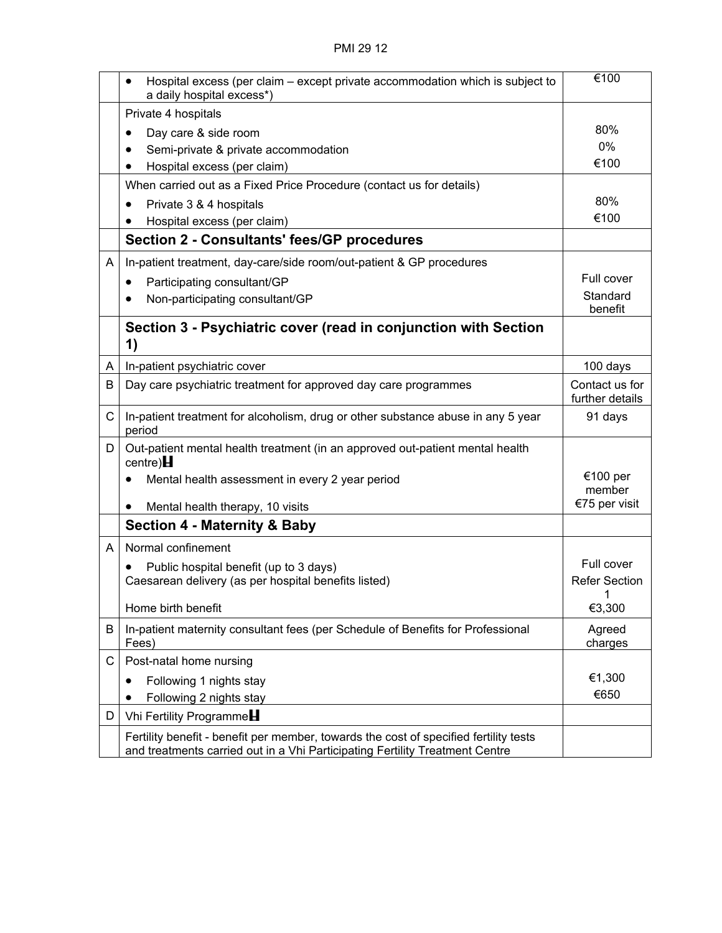|   | Hospital excess (per claim – except private accommodation which is subject to<br>a daily hospital excess*)                                                            | €100                              |
|---|-----------------------------------------------------------------------------------------------------------------------------------------------------------------------|-----------------------------------|
|   | Private 4 hospitals                                                                                                                                                   |                                   |
|   | Day care & side room                                                                                                                                                  | 80%                               |
|   | Semi-private & private accommodation                                                                                                                                  | 0%                                |
|   | Hospital excess (per claim)                                                                                                                                           | €100                              |
|   | When carried out as a Fixed Price Procedure (contact us for details)                                                                                                  |                                   |
|   | Private 3 & 4 hospitals                                                                                                                                               | 80%                               |
|   | Hospital excess (per claim)                                                                                                                                           | €100                              |
|   | <b>Section 2 - Consultants' fees/GP procedures</b>                                                                                                                    |                                   |
| A | In-patient treatment, day-care/side room/out-patient & GP procedures                                                                                                  |                                   |
|   | Participating consultant/GP<br>٠                                                                                                                                      | Full cover                        |
|   | Non-participating consultant/GP                                                                                                                                       | Standard<br>benefit               |
|   | Section 3 - Psychiatric cover (read in conjunction with Section<br>1)                                                                                                 |                                   |
| A | In-patient psychiatric cover                                                                                                                                          | 100 days                          |
| В | Day care psychiatric treatment for approved day care programmes                                                                                                       | Contact us for<br>further details |
| C | In-patient treatment for alcoholism, drug or other substance abuse in any 5 year<br>period                                                                            | 91 days                           |
| D | Out-patient mental health treatment (in an approved out-patient mental health<br>centre) $H$                                                                          |                                   |
|   | Mental health assessment in every 2 year period<br>$\bullet$                                                                                                          | €100 per<br>member                |
|   | Mental health therapy, 10 visits                                                                                                                                      | €75 per visit                     |
|   | <b>Section 4 - Maternity &amp; Baby</b>                                                                                                                               |                                   |
| A | Normal confinement                                                                                                                                                    |                                   |
|   | Public hospital benefit (up to 3 days)                                                                                                                                | Full cover                        |
|   | Caesarean delivery (as per hospital benefits listed)                                                                                                                  | <b>Refer Section</b>              |
|   | Home birth benefit                                                                                                                                                    | 1<br>€3,300                       |
| B | In-patient maternity consultant fees (per Schedule of Benefits for Professional<br>Fees)                                                                              | Agreed<br>charges                 |
| C | Post-natal home nursing                                                                                                                                               |                                   |
|   | Following 1 nights stay<br>٠                                                                                                                                          | €1,300                            |
|   | Following 2 nights stay<br>٠                                                                                                                                          | €650                              |
| D | Vhi Fertility Programme                                                                                                                                               |                                   |
|   | Fertility benefit - benefit per member, towards the cost of specified fertility tests<br>and treatments carried out in a Vhi Participating Fertility Treatment Centre |                                   |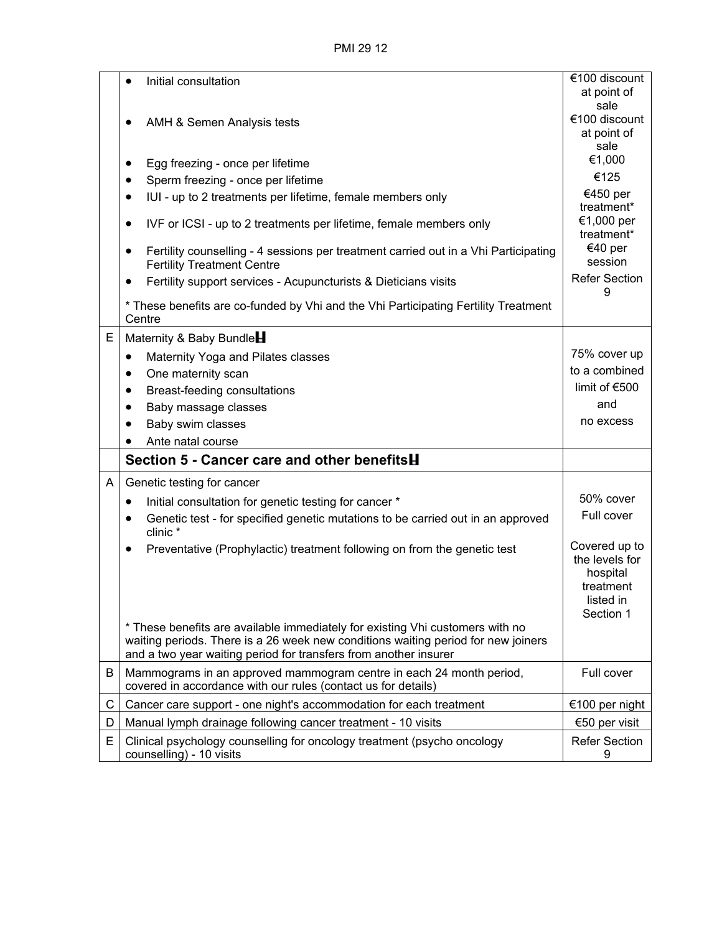PMI 29 12

|   | Initial consultation<br>$\bullet$                                                                                                                                                                                                      | €100 discount                                                                      |
|---|----------------------------------------------------------------------------------------------------------------------------------------------------------------------------------------------------------------------------------------|------------------------------------------------------------------------------------|
|   |                                                                                                                                                                                                                                        | at point of<br>sale                                                                |
|   | AMH & Semen Analysis tests                                                                                                                                                                                                             | €100 discount                                                                      |
|   |                                                                                                                                                                                                                                        | at point of                                                                        |
|   |                                                                                                                                                                                                                                        | sale<br>€1,000                                                                     |
|   | Egg freezing - once per lifetime<br>$\bullet$<br>Sperm freezing - once per lifetime<br>٠                                                                                                                                               | €125                                                                               |
|   | IUI - up to 2 treatments per lifetime, female members only<br>$\bullet$                                                                                                                                                                | €450 per                                                                           |
|   |                                                                                                                                                                                                                                        | treatment*                                                                         |
|   | IVF or ICSI - up to 2 treatments per lifetime, female members only<br>٠                                                                                                                                                                | €1,000 per<br>treatment*                                                           |
|   | Fertility counselling - 4 sessions per treatment carried out in a Vhi Participating<br>٠<br><b>Fertility Treatment Centre</b>                                                                                                          | €40 per<br>session                                                                 |
|   | Fertility support services - Acupuncturists & Dieticians visits<br>$\bullet$                                                                                                                                                           | <b>Refer Section</b><br>9                                                          |
|   | * These benefits are co-funded by Vhi and the Vhi Participating Fertility Treatment<br>Centre                                                                                                                                          |                                                                                    |
| E | Maternity & Baby Bundle                                                                                                                                                                                                                |                                                                                    |
|   | Maternity Yoga and Pilates classes<br>$\bullet$                                                                                                                                                                                        | 75% cover up                                                                       |
|   | One maternity scan<br>$\bullet$                                                                                                                                                                                                        | to a combined                                                                      |
|   | Breast-feeding consultations<br>$\bullet$                                                                                                                                                                                              | limit of €500                                                                      |
|   | Baby massage classes<br>$\bullet$                                                                                                                                                                                                      | and                                                                                |
|   | Baby swim classes<br>$\bullet$                                                                                                                                                                                                         | no excess                                                                          |
|   | Ante natal course                                                                                                                                                                                                                      |                                                                                    |
|   | Section 5 - Cancer care and other benefitsH                                                                                                                                                                                            |                                                                                    |
| A | Genetic testing for cancer                                                                                                                                                                                                             |                                                                                    |
|   | Initial consultation for genetic testing for cancer *<br>$\bullet$                                                                                                                                                                     | 50% cover                                                                          |
|   | Genetic test - for specified genetic mutations to be carried out in an approved<br>$\bullet$<br>clinic *                                                                                                                               | Full cover                                                                         |
|   | Preventative (Prophylactic) treatment following on from the genetic test                                                                                                                                                               | Covered up to<br>the levels for<br>hospital<br>treatment<br>listed in<br>Section 1 |
|   | * These benefits are available immediately for existing Vhi customers with no<br>waiting periods. There is a 26 week new conditions waiting period for new joiners<br>and a two year waiting period for transfers from another insurer |                                                                                    |
| B | Mammograms in an approved mammogram centre in each 24 month period,<br>covered in accordance with our rules (contact us for details)                                                                                                   | Full cover                                                                         |
| C | Cancer care support - one night's accommodation for each treatment                                                                                                                                                                     | €100 per night                                                                     |
| D | Manual lymph drainage following cancer treatment - 10 visits                                                                                                                                                                           | €50 per visit                                                                      |
| E | Clinical psychology counselling for oncology treatment (psycho oncology<br>counselling) - 10 visits                                                                                                                                    | <b>Refer Section</b><br>9                                                          |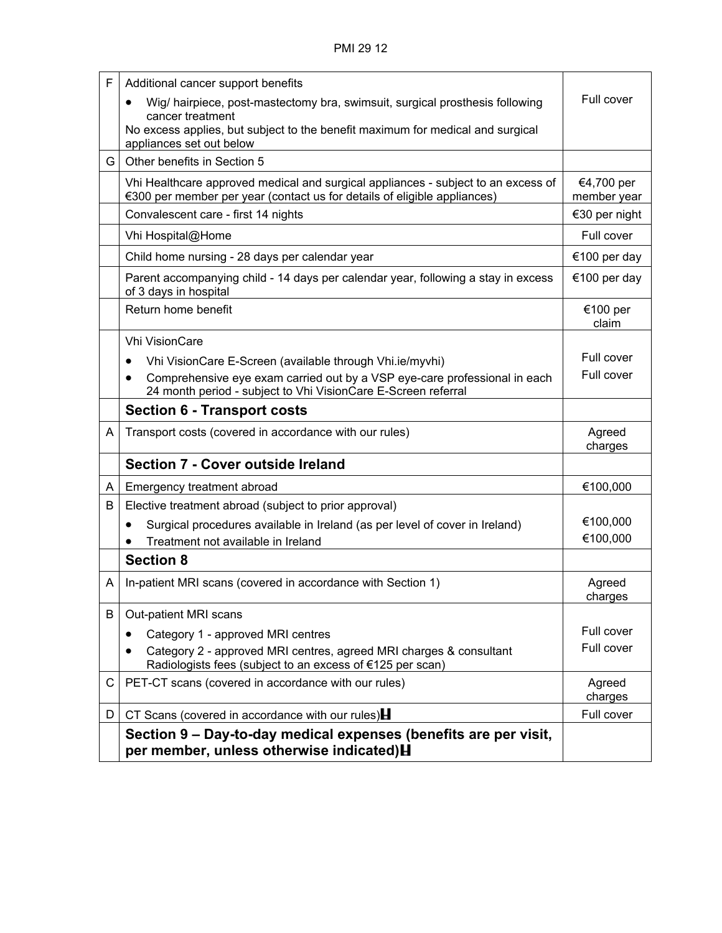| F  | Additional cancer support benefits                                                                                                                            |                           |
|----|---------------------------------------------------------------------------------------------------------------------------------------------------------------|---------------------------|
|    | Wig/ hairpiece, post-mastectomy bra, swimsuit, surgical prosthesis following                                                                                  | Full cover                |
|    | cancer treatment<br>No excess applies, but subject to the benefit maximum for medical and surgical<br>appliances set out below                                |                           |
| G. | Other benefits in Section 5                                                                                                                                   |                           |
|    | Vhi Healthcare approved medical and surgical appliances - subject to an excess of<br>€300 per member per year (contact us for details of eligible appliances) | €4,700 per<br>member year |
|    | Convalescent care - first 14 nights                                                                                                                           | €30 per night             |
|    | Vhi Hospital@Home                                                                                                                                             | Full cover                |
|    | Child home nursing - 28 days per calendar year                                                                                                                | €100 per day              |
|    | Parent accompanying child - 14 days per calendar year, following a stay in excess<br>of 3 days in hospital                                                    | €100 per day              |
|    | Return home benefit                                                                                                                                           | €100 per<br>claim         |
|    | <b>Vhi VisionCare</b>                                                                                                                                         |                           |
|    | Vhi VisionCare E-Screen (available through Vhi.ie/myvhi)                                                                                                      | Full cover                |
|    | Comprehensive eye exam carried out by a VSP eye-care professional in each<br>24 month period - subject to Vhi VisionCare E-Screen referral                    | Full cover                |
|    | <b>Section 6 - Transport costs</b>                                                                                                                            |                           |
| A  | Transport costs (covered in accordance with our rules)                                                                                                        | Agreed<br>charges         |
|    | <b>Section 7 - Cover outside Ireland</b>                                                                                                                      |                           |
| A  | Emergency treatment abroad                                                                                                                                    | €100,000                  |
| B  | Elective treatment abroad (subject to prior approval)                                                                                                         |                           |
|    | Surgical procedures available in Ireland (as per level of cover in Ireland)<br>$\bullet$                                                                      | €100,000                  |
|    | Treatment not available in Ireland                                                                                                                            | €100,000                  |
|    | <b>Section 8</b>                                                                                                                                              |                           |
| A  | In-patient MRI scans (covered in accordance with Section 1)                                                                                                   | Agreed<br>charges         |
| B  | Out-patient MRI scans                                                                                                                                         |                           |
|    | Category 1 - approved MRI centres                                                                                                                             | Full cover                |
|    | Category 2 - approved MRI centres, agreed MRI charges & consultant<br>$\bullet$<br>Radiologists fees (subject to an excess of €125 per scan)                  | Full cover                |
| C. | PET-CT scans (covered in accordance with our rules)                                                                                                           | Agreed<br>charges         |
| D  | CT Scans (covered in accordance with our rules) $\mathbf H$                                                                                                   | Full cover                |
|    | Section 9 – Day-to-day medical expenses (benefits are per visit,<br>per member, unless otherwise indicated) <b>H</b>                                          |                           |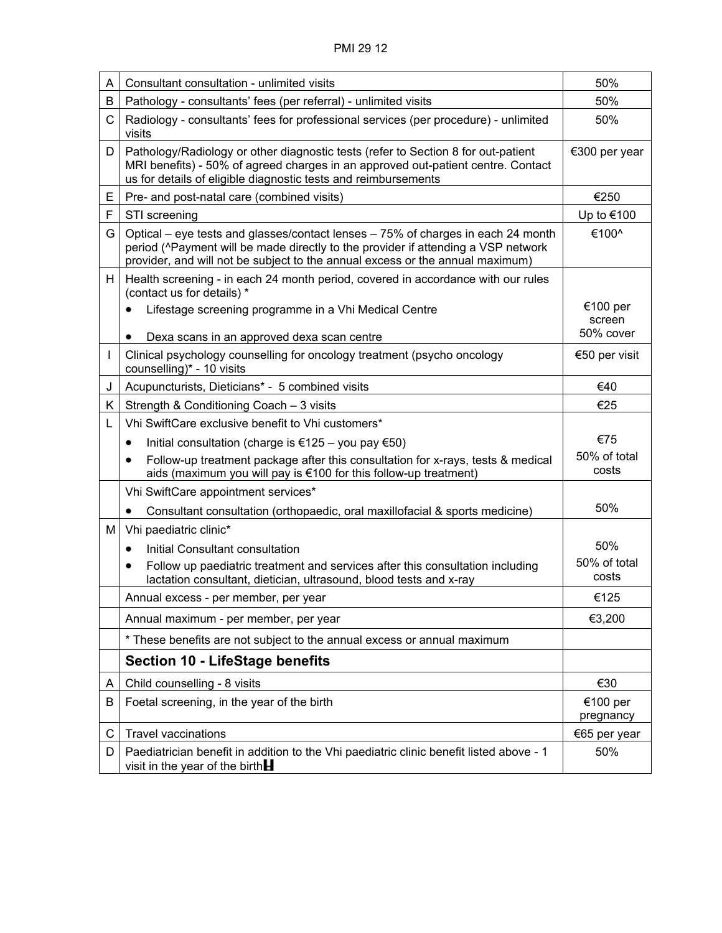| A  | Consultant consultation - unlimited visits                                                                                                                                                                                                             | 50%                             |
|----|--------------------------------------------------------------------------------------------------------------------------------------------------------------------------------------------------------------------------------------------------------|---------------------------------|
| В  | Pathology - consultants' fees (per referral) - unlimited visits                                                                                                                                                                                        | 50%                             |
| C  | Radiology - consultants' fees for professional services (per procedure) - unlimited<br>visits                                                                                                                                                          | 50%                             |
| D  | Pathology/Radiology or other diagnostic tests (refer to Section 8 for out-patient<br>MRI benefits) - 50% of agreed charges in an approved out-patient centre. Contact<br>us for details of eligible diagnostic tests and reimbursements                | €300 per year                   |
| Е  | Pre- and post-natal care (combined visits)                                                                                                                                                                                                             | €250                            |
| F  | STI screening                                                                                                                                                                                                                                          | Up to €100                      |
| G  | Optical – eye tests and glasses/contact lenses – 75% of charges in each 24 month<br>period (^Payment will be made directly to the provider if attending a VSP network<br>provider, and will not be subject to the annual excess or the annual maximum) | €100^                           |
| H. | Health screening - in each 24 month period, covered in accordance with our rules<br>(contact us for details) *                                                                                                                                         |                                 |
|    | Lifestage screening programme in a Vhi Medical Centre<br>Dexa scans in an approved dexa scan centre<br>٠                                                                                                                                               | €100 per<br>screen<br>50% cover |
|    | Clinical psychology counselling for oncology treatment (psycho oncology<br>counselling)* - 10 visits                                                                                                                                                   | €50 per visit                   |
| J  | Acupuncturists, Dieticians* - 5 combined visits                                                                                                                                                                                                        | €40                             |
| K. | Strength & Conditioning Coach - 3 visits                                                                                                                                                                                                               | €25                             |
| L  | Vhi SwiftCare exclusive benefit to Vhi customers*                                                                                                                                                                                                      |                                 |
|    | Initial consultation (charge is €125 – you pay €50)<br>٠                                                                                                                                                                                               | €75                             |
|    | Follow-up treatment package after this consultation for x-rays, tests & medical<br>aids (maximum you will pay is €100 for this follow-up treatment)                                                                                                    | 50% of total<br>costs           |
|    | Vhi SwiftCare appointment services*                                                                                                                                                                                                                    |                                 |
|    | Consultant consultation (orthopaedic, oral maxillofacial & sports medicine)<br>$\bullet$                                                                                                                                                               | 50%                             |
| м  | Vhi paediatric clinic*                                                                                                                                                                                                                                 |                                 |
|    | Initial Consultant consultation<br>٠                                                                                                                                                                                                                   | 50%                             |
|    | Follow up paediatric treatment and services after this consultation including<br>٠<br>lactation consultant, dietician, ultrasound, blood tests and x-ray                                                                                               | 50% of total<br>costs           |
|    | Annual excess - per member, per year                                                                                                                                                                                                                   | €125                            |
|    | Annual maximum - per member, per year                                                                                                                                                                                                                  | €3,200                          |
|    | * These benefits are not subject to the annual excess or annual maximum                                                                                                                                                                                |                                 |
|    | <b>Section 10 - LifeStage benefits</b>                                                                                                                                                                                                                 |                                 |
| A  | Child counselling - 8 visits                                                                                                                                                                                                                           | €30                             |
| В  | Foetal screening, in the year of the birth                                                                                                                                                                                                             | €100 per<br>pregnancy           |
| C  | <b>Travel vaccinations</b>                                                                                                                                                                                                                             | €65 per year                    |
| D  | Paediatrician benefit in addition to the Vhi paediatric clinic benefit listed above - 1<br>visit in the year of the birth $\blacksquare$                                                                                                               | 50%                             |